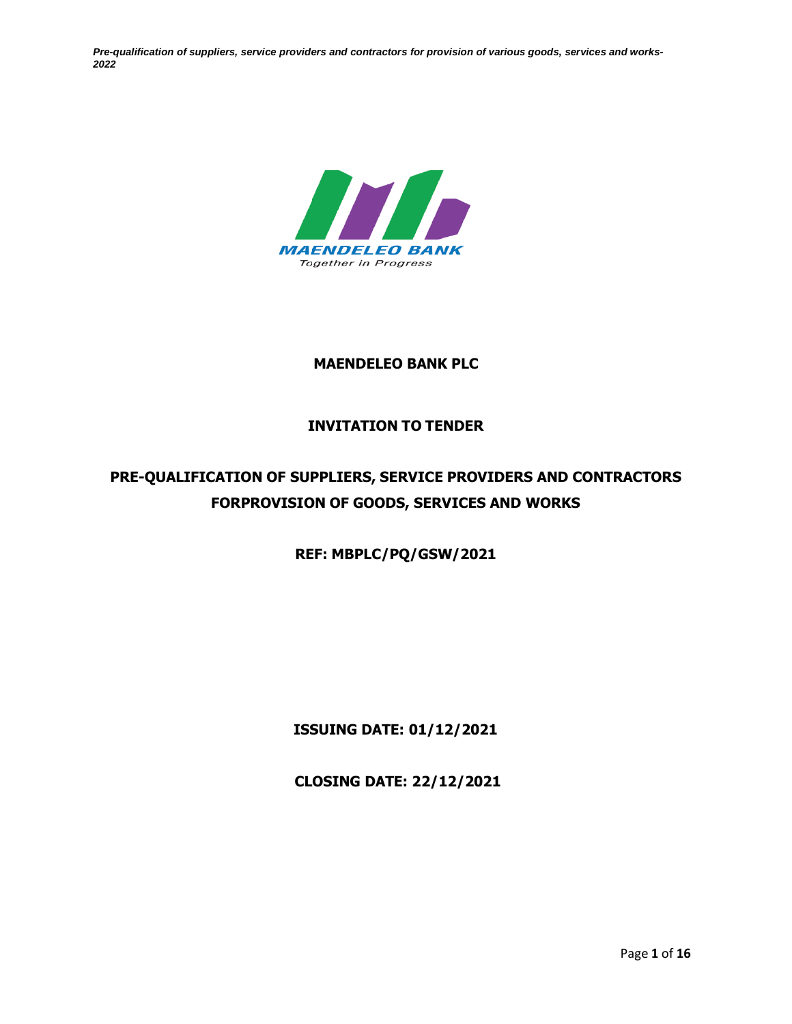

## **MAENDELEO BANK PLC**

# **INVITATION TO TENDER**

# **PRE-QUALIFICATION OF SUPPLIERS, SERVICE PROVIDERS AND CONTRACTORS FORPROVISION OF GOODS, SERVICES AND WORKS**

**REF: MBPLC/PQ/GSW/2021**

**ISSUING DATE: 01/12/2021**

**CLOSING DATE: 22/12/2021**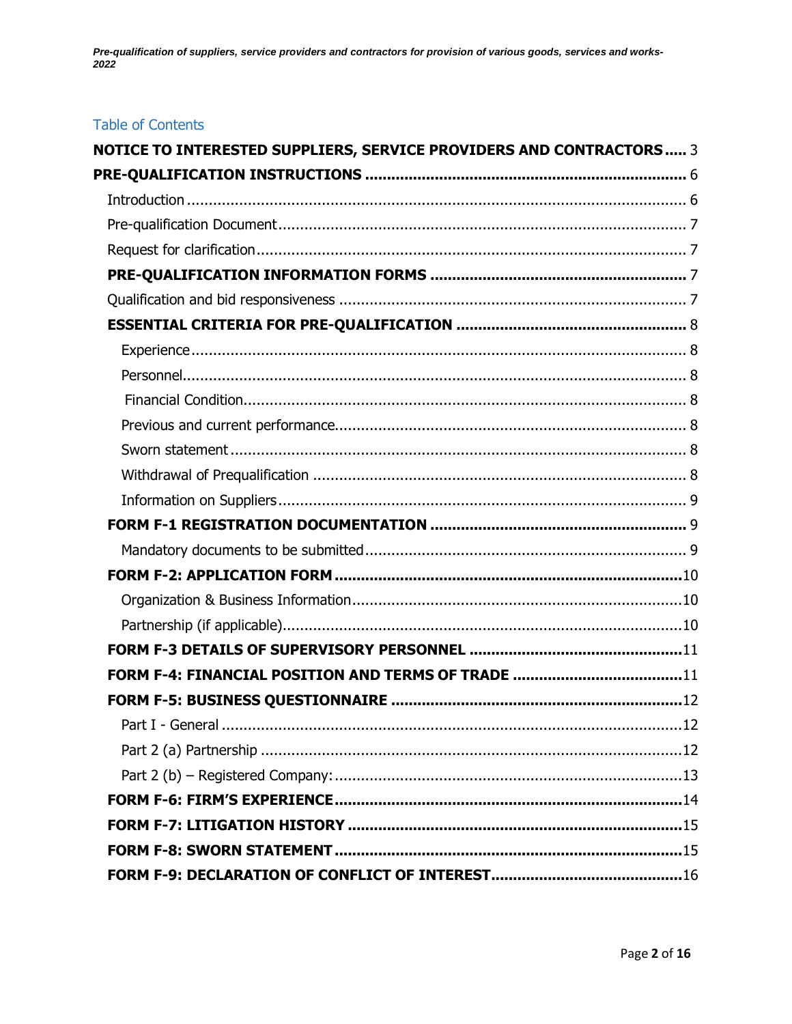# **Table of Contents**

| <b>NOTICE TO INTERESTED SUPPLIERS, SERVICE PROVIDERS AND CONTRACTORS  3</b> |  |
|-----------------------------------------------------------------------------|--|
|                                                                             |  |
|                                                                             |  |
|                                                                             |  |
|                                                                             |  |
|                                                                             |  |
|                                                                             |  |
|                                                                             |  |
|                                                                             |  |
|                                                                             |  |
|                                                                             |  |
|                                                                             |  |
|                                                                             |  |
|                                                                             |  |
|                                                                             |  |
|                                                                             |  |
|                                                                             |  |
|                                                                             |  |
|                                                                             |  |
|                                                                             |  |
|                                                                             |  |
|                                                                             |  |
|                                                                             |  |
|                                                                             |  |
|                                                                             |  |
|                                                                             |  |
|                                                                             |  |
|                                                                             |  |
|                                                                             |  |
|                                                                             |  |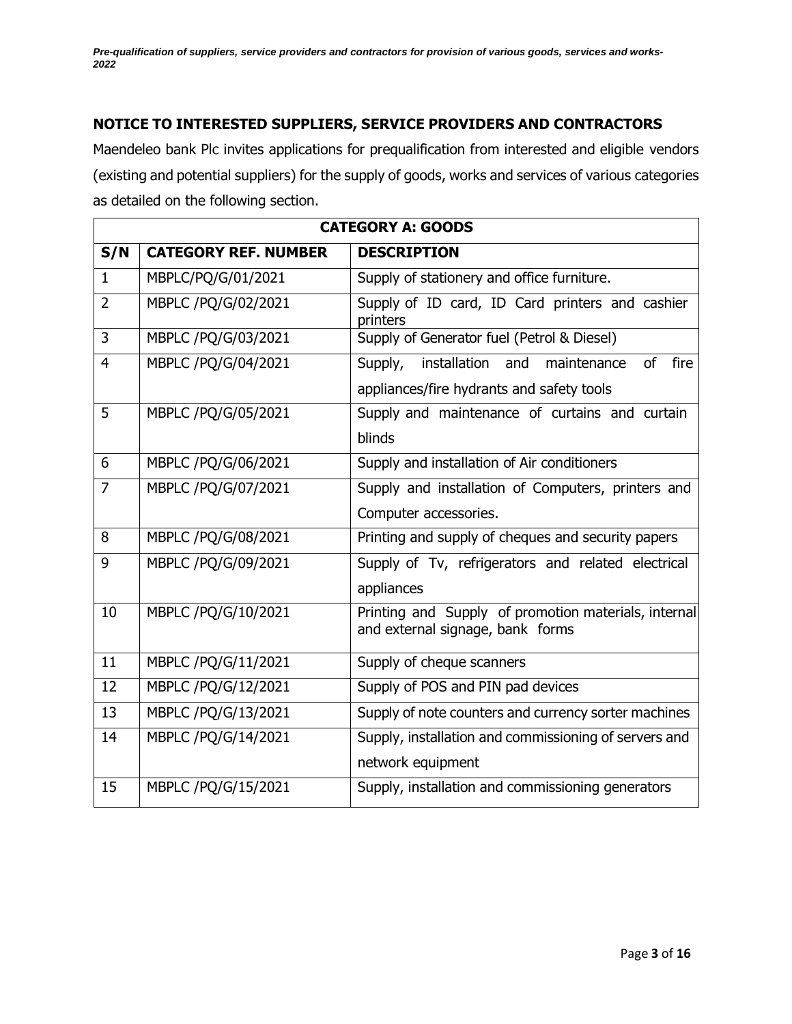# <span id="page-2-0"></span>**NOTICE TO INTERESTED SUPPLIERS, SERVICE PROVIDERS AND CONTRACTORS**

Maendeleo bank Plc invites applications for prequalification from interested and eligible vendors (existing and potential suppliers) for the supply of goods, works and services of various categories as detailed on the following section.

| <b>CATEGORY A: GOODS</b> |                             |                                                                                          |
|--------------------------|-----------------------------|------------------------------------------------------------------------------------------|
| S/N                      | <b>CATEGORY REF. NUMBER</b> | <b>DESCRIPTION</b>                                                                       |
| $\mathbf{1}$             | MBPLC/PQ/G/01/2021          | Supply of stationery and office furniture.                                               |
| $\overline{2}$           | MBPLC /PQ/G/02/2021         | Supply of ID card, ID Card printers and cashier<br>printers                              |
| 3                        | MBPLC /PQ/G/03/2021         | Supply of Generator fuel (Petrol & Diesel)                                               |
| $\overline{4}$           | MBPLC /PQ/G/04/2021         | Supply, installation and<br>of<br>fire<br>maintenance                                    |
|                          |                             | appliances/fire hydrants and safety tools                                                |
| 5                        | MBPLC /PQ/G/05/2021         | Supply and maintenance of curtains and curtain                                           |
|                          |                             | blinds                                                                                   |
| 6                        | MBPLC /PQ/G/06/2021         | Supply and installation of Air conditioners                                              |
| $\overline{7}$           | MBPLC /PQ/G/07/2021         | Supply and installation of Computers, printers and                                       |
|                          |                             | Computer accessories.                                                                    |
| 8                        | MBPLC /PQ/G/08/2021         | Printing and supply of cheques and security papers                                       |
| 9                        | MBPLC /PQ/G/09/2021         | Supply of Tv, refrigerators and related electrical                                       |
|                          |                             | appliances                                                                               |
| 10                       | MBPLC /PQ/G/10/2021         | Printing and Supply of promotion materials, internal<br>and external signage, bank forms |
| 11                       | MBPLC /PQ/G/11/2021         | Supply of cheque scanners                                                                |
| 12                       | MBPLC /PQ/G/12/2021         | Supply of POS and PIN pad devices                                                        |
| 13                       | MBPLC /PQ/G/13/2021         | Supply of note counters and currency sorter machines                                     |
| 14                       | MBPLC /PQ/G/14/2021         | Supply, installation and commissioning of servers and                                    |
|                          |                             | network equipment                                                                        |
| 15                       | MBPLC /PQ/G/15/2021         | Supply, installation and commissioning generators                                        |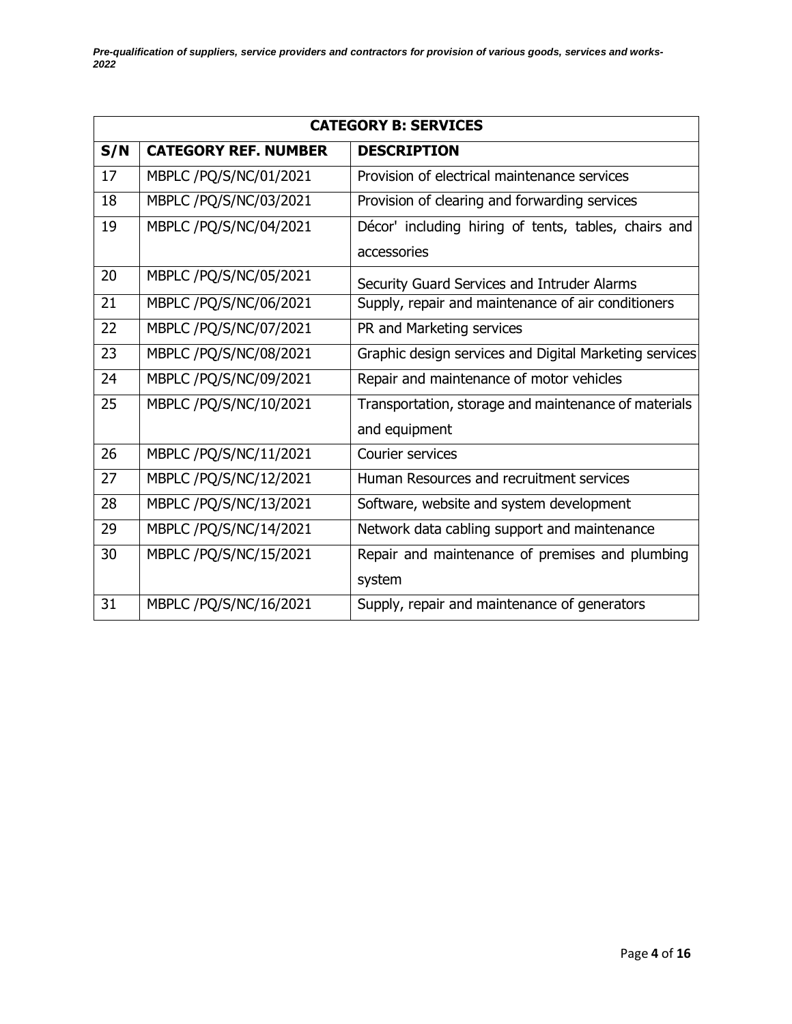|     | <b>CATEGORY B: SERVICES</b> |                                                        |  |
|-----|-----------------------------|--------------------------------------------------------|--|
| S/N | <b>CATEGORY REF. NUMBER</b> | <b>DESCRIPTION</b>                                     |  |
| 17  | MBPLC /PQ/S/NC/01/2021      | Provision of electrical maintenance services           |  |
| 18  | MBPLC /PQ/S/NC/03/2021      | Provision of clearing and forwarding services          |  |
| 19  | MBPLC /PQ/S/NC/04/2021      | Décor' including hiring of tents, tables, chairs and   |  |
|     |                             | accessories                                            |  |
| 20  | MBPLC /PQ/S/NC/05/2021      | Security Guard Services and Intruder Alarms            |  |
| 21  | MBPLC /PQ/S/NC/06/2021      | Supply, repair and maintenance of air conditioners     |  |
| 22  | MBPLC /PQ/S/NC/07/2021      | PR and Marketing services                              |  |
| 23  | MBPLC /PQ/S/NC/08/2021      | Graphic design services and Digital Marketing services |  |
| 24  | MBPLC /PQ/S/NC/09/2021      | Repair and maintenance of motor vehicles               |  |
| 25  | MBPLC /PQ/S/NC/10/2021      | Transportation, storage and maintenance of materials   |  |
|     |                             | and equipment                                          |  |
| 26  | MBPLC /PQ/S/NC/11/2021      | Courier services                                       |  |
| 27  | MBPLC /PQ/S/NC/12/2021      | Human Resources and recruitment services               |  |
| 28  | MBPLC /PQ/S/NC/13/2021      | Software, website and system development               |  |
| 29  | MBPLC /PQ/S/NC/14/2021      | Network data cabling support and maintenance           |  |
| 30  | MBPLC /PQ/S/NC/15/2021      | Repair and maintenance of premises and plumbing        |  |
|     |                             | system                                                 |  |
| 31  | MBPLC /PQ/S/NC/16/2021      | Supply, repair and maintenance of generators           |  |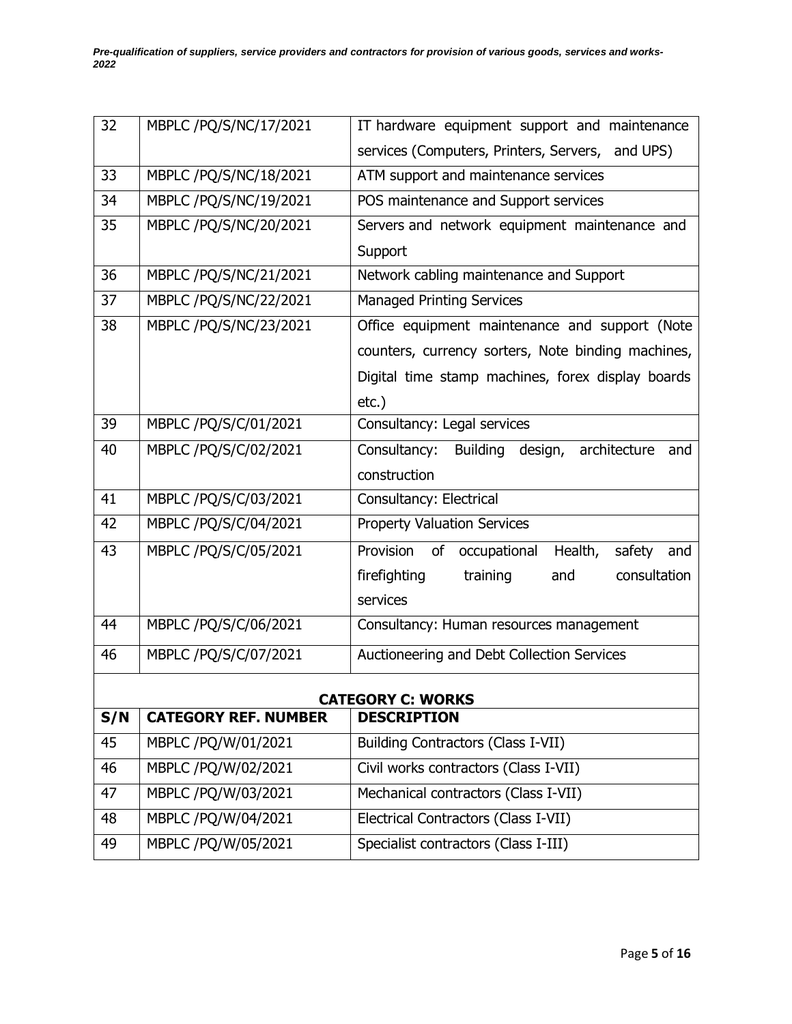| 32                       | MBPLC /PQ/S/NC/17/2021      | IT hardware equipment support and maintenance      |  |  |
|--------------------------|-----------------------------|----------------------------------------------------|--|--|
|                          |                             | services (Computers, Printers, Servers, and UPS)   |  |  |
| 33                       | MBPLC /PQ/S/NC/18/2021      | ATM support and maintenance services               |  |  |
| 34                       | MBPLC /PQ/S/NC/19/2021      | POS maintenance and Support services               |  |  |
| 35                       | MBPLC /PQ/S/NC/20/2021      | Servers and network equipment maintenance and      |  |  |
|                          |                             | Support                                            |  |  |
| 36                       | MBPLC /PQ/S/NC/21/2021      | Network cabling maintenance and Support            |  |  |
| 37                       | MBPLC /PQ/S/NC/22/2021      | <b>Managed Printing Services</b>                   |  |  |
| 38                       | MBPLC /PQ/S/NC/23/2021      | Office equipment maintenance and support (Note     |  |  |
|                          |                             | counters, currency sorters, Note binding machines, |  |  |
|                          |                             | Digital time stamp machines, forex display boards  |  |  |
|                          |                             | $etc.$ )                                           |  |  |
| 39                       | MBPLC /PQ/S/C/01/2021       | Consultancy: Legal services                        |  |  |
| 40                       | MBPLC /PQ/S/C/02/2021       | Building design, architecture and<br>Consultancy:  |  |  |
|                          |                             | construction                                       |  |  |
| 41                       | MBPLC /PQ/S/C/03/2021       | Consultancy: Electrical                            |  |  |
| 42                       | MBPLC /PQ/S/C/04/2021       | <b>Property Valuation Services</b>                 |  |  |
| 43                       | MBPLC /PQ/S/C/05/2021       | Provision of occupational<br>Health,<br>safety and |  |  |
|                          |                             | firefighting<br>consultation<br>training<br>and    |  |  |
|                          |                             | services                                           |  |  |
| 44                       | MBPLC /PQ/S/C/06/2021       | Consultancy: Human resources management            |  |  |
| 46                       | MBPLC /PQ/S/C/07/2021       | Auctioneering and Debt Collection Services         |  |  |
| <b>CATEGORY C: WORKS</b> |                             |                                                    |  |  |
| S/N                      | <b>CATEGORY REF. NUMBER</b> | <b>DESCRIPTION</b>                                 |  |  |

| <b>97 IV</b> | CAILOONI INLI I INOPIDEIN | PLJUNI I IVII                         |
|--------------|---------------------------|---------------------------------------|
| 45           | MBPLC /PQ/W/01/2021       | Building Contractors (Class I-VII)    |
| 46           | MBPLC /PQ/W/02/2021       | Civil works contractors (Class I-VII) |
| 47           | MBPLC /PQ/W/03/2021       | Mechanical contractors (Class I-VII)  |
| 48           | MBPLC /PQ/W/04/2021       | Electrical Contractors (Class I-VII)  |
| 49           | MBPLC /PQ/W/05/2021       | Specialist contractors (Class I-III)  |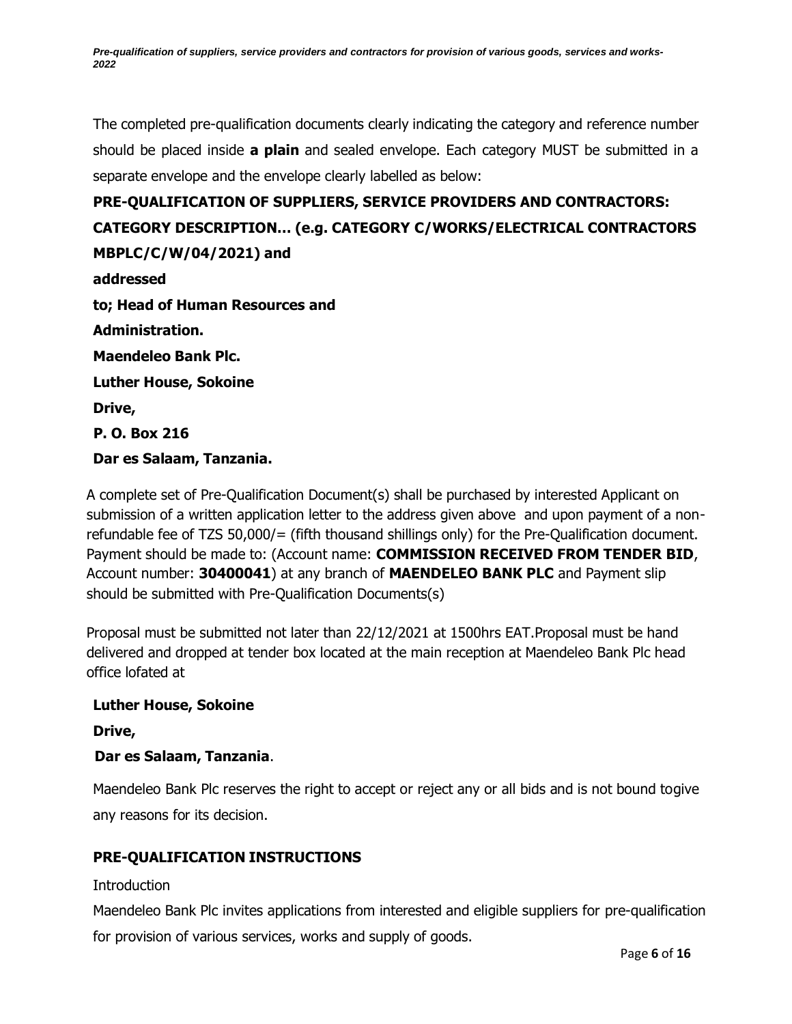The completed pre-qualification documents clearly indicating the category and reference number should be placed inside **a plain** and sealed envelope. Each category MUST be submitted in a separate envelope and the envelope clearly labelled as below:

**PRE-QUALIFICATION OF SUPPLIERS, SERVICE PROVIDERS AND CONTRACTORS: CATEGORY DESCRIPTION… (e.g. CATEGORY C/WORKS/ELECTRICAL CONTRACTORS MBPLC/C/W/04/2021) and addressed to; Head of Human Resources and Administration. Maendeleo Bank Plc. Luther House, Sokoine Drive, P. O. Box 216 Dar es Salaam, Tanzania.**

A complete set of Pre-Qualification Document(s) shall be purchased by interested Applicant on submission of a written application letter to the address given above and upon payment of a nonrefundable fee of TZS 50,000/= (fifth thousand shillings only) for the Pre-Qualification document. Payment should be made to: (Account name: **COMMISSION RECEIVED FROM TENDER BID**, Account number: **30400041**) at any branch of **MAENDELEO BANK PLC** and Payment slip should be submitted with Pre-Qualification Documents(s)

Proposal must be submitted not later than 22/12/2021 at 1500hrs EAT.Proposal must be hand delivered and dropped at tender box located at the main reception at Maendeleo Bank Plc head office lofated at

#### **Luther House, Sokoine**

**Drive,**

## **Dar es Salaam, Tanzania**.

Maendeleo Bank Plc reserves the right to accept or reject any or all bids and is not bound togive any reasons for its decision.

## <span id="page-5-0"></span>**PRE-QUALIFICATION INSTRUCTIONS**

#### <span id="page-5-1"></span>**Introduction**

Maendeleo Bank Plc invites applications from interested and eligible suppliers for pre-qualification for provision of various services, works and supply of goods.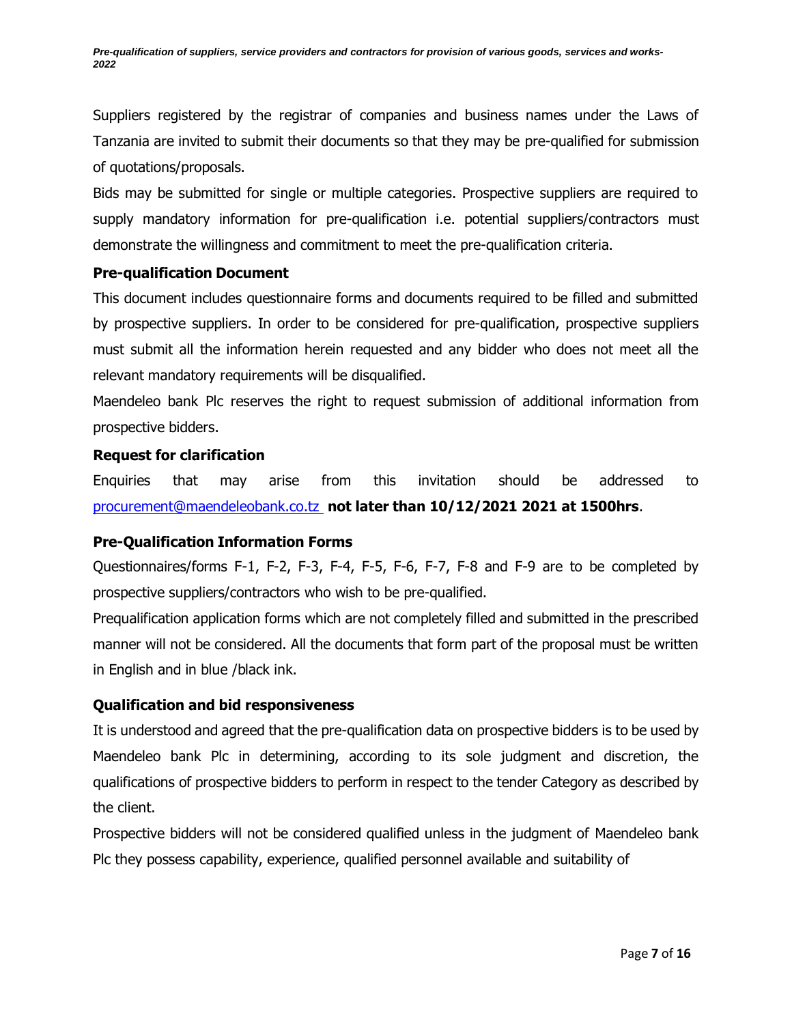Suppliers registered by the registrar of companies and business names under the Laws of Tanzania are invited to submit their documents so that they may be pre-qualified for submission of quotations/proposals.

Bids may be submitted for single or multiple categories. Prospective suppliers are required to supply mandatory information for pre-qualification i.e. potential suppliers/contractors must demonstrate the willingness and commitment to meet the pre-qualification criteria.

#### <span id="page-6-0"></span>**Pre-qualification Document**

This document includes questionnaire forms and documents required to be filled and submitted by prospective suppliers. In order to be considered for pre-qualification, prospective suppliers must submit all the information herein requested and any bidder who does not meet all the relevant mandatory requirements will be disqualified.

Maendeleo bank Plc reserves the right to request submission of additional information from prospective bidders.

#### <span id="page-6-1"></span>**Request for clarification**

Enquiries that may arise from this invitation should be addressed to [procurement@maendeleobank.co.tz](mailto:procurement@maendeleobank.co.tz) **not later than 10/12/2021 2021 at 1500hrs**.

#### <span id="page-6-2"></span>**Pre-Qualification Information Forms**

Questionnaires/forms F-1, F-2, F-3, F-4, F-5, F-6, F-7, F-8 and F-9 are to be completed by prospective suppliers/contractors who wish to be pre-qualified.

Prequalification application forms which are not completely filled and submitted in the prescribed manner will not be considered. All the documents that form part of the proposal must be written in English and in blue /black ink.

#### <span id="page-6-3"></span>**Qualification and bid responsiveness**

It is understood and agreed that the pre-qualification data on prospective bidders is to be used by Maendeleo bank Plc in determining, according to its sole judgment and discretion, the qualifications of prospective bidders to perform in respect to the tender Category as described by the client.

Prospective bidders will not be considered qualified unless in the judgment of Maendeleo bank Plc they possess capability, experience, qualified personnel available and suitability of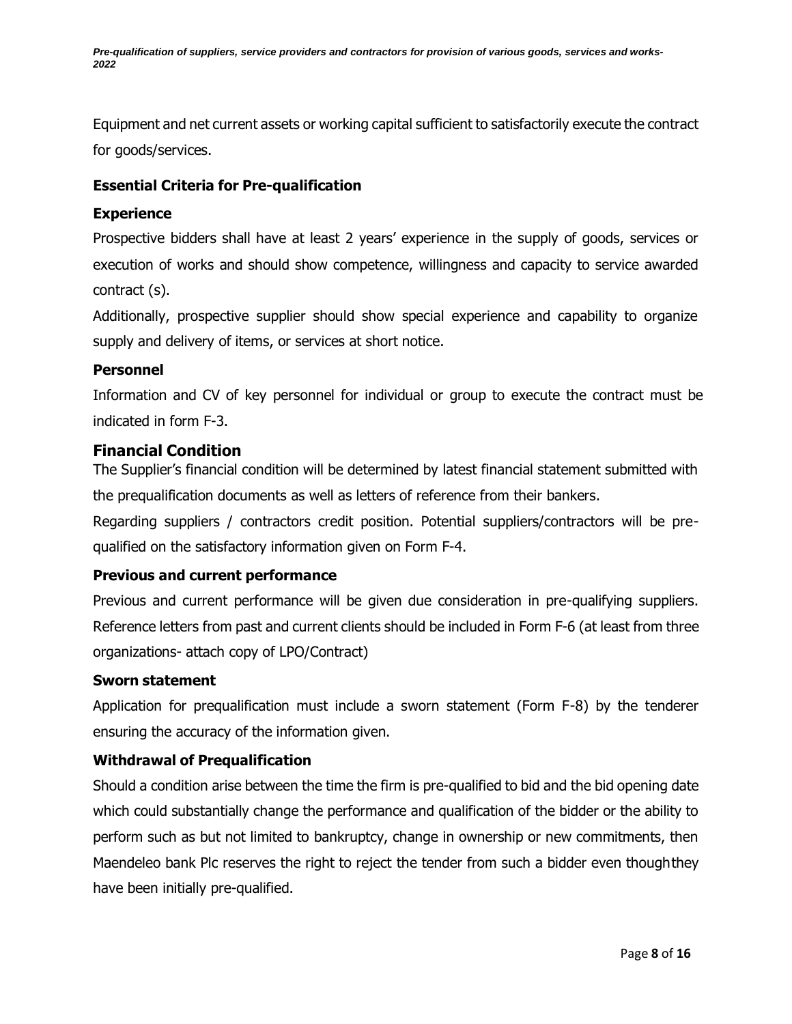Equipment and net current assets or working capital sufficient to satisfactorily execute the contract for goods/services.

#### <span id="page-7-0"></span>**Essential Criteria for Pre-qualification**

#### <span id="page-7-1"></span>**Experience**

Prospective bidders shall have at least 2 years' experience in the supply of goods, services or execution of works and should show competence, willingness and capacity to service awarded contract (s).

Additionally, prospective supplier should show special experience and capability to organize supply and delivery of items, or services at short notice.

#### <span id="page-7-2"></span>**Personnel**

Information and CV of key personnel for individual or group to execute the contract must be indicated in form F-3.

#### <span id="page-7-3"></span>**Financial Condition**

The Supplier's financial condition will be determined by latest financial statement submitted with the prequalification documents as well as letters of reference from their bankers.

Regarding suppliers / contractors credit position. Potential suppliers/contractors will be prequalified on the satisfactory information given on Form F-4.

#### <span id="page-7-4"></span>**Previous and current performance**

Previous and current performance will be given due consideration in pre-qualifying suppliers. Reference letters from past and current clients should be included in Form F-6 (at least from three organizations- attach copy of LPO/Contract)

#### <span id="page-7-5"></span>**Sworn statement**

Application for prequalification must include a sworn statement (Form F-8) by the tenderer ensuring the accuracy of the information given.

#### <span id="page-7-6"></span>**Withdrawal of Prequalification**

Should a condition arise between the time the firm is pre-qualified to bid and the bid opening date which could substantially change the performance and qualification of the bidder or the ability to perform such as but not limited to bankruptcy, change in ownership or new commitments, then Maendeleo bank Plc reserves the right to reject the tender from such a bidder even thoughthey have been initially pre-qualified.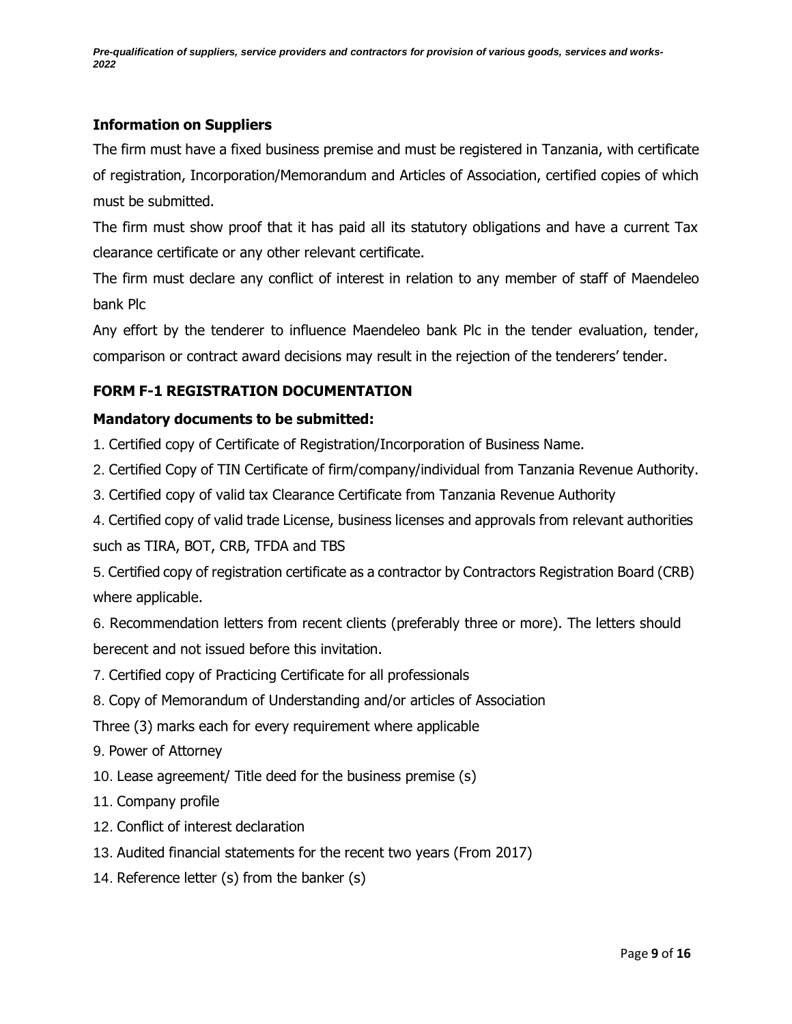## <span id="page-8-0"></span>**Information on Suppliers**

The firm must have a fixed business premise and must be registered in Tanzania, with certificate of registration, Incorporation/Memorandum and Articles of Association, certified copies of which must be submitted.

The firm must show proof that it has paid all its statutory obligations and have a current Tax clearance certificate or any other relevant certificate.

The firm must declare any conflict of interest in relation to any member of staff of Maendeleo bank Plc

Any effort by the tenderer to influence Maendeleo bank Plc in the tender evaluation, tender, comparison or contract award decisions may result in the rejection of the tenderers' tender.

## <span id="page-8-1"></span>**FORM F-1 REGISTRATION DOCUMENTATION**

#### <span id="page-8-2"></span>**Mandatory documents to be submitted:**

1. Certified copy of Certificate of Registration/Incorporation of Business Name.

- 2. Certified Copy of TIN Certificate of firm/company/individual from Tanzania Revenue Authority.
- 3. Certified copy of valid tax Clearance Certificate from Tanzania Revenue Authority
- 4. Certified copy of valid trade License, business licenses and approvals from relevant authorities such as TIRA, BOT, CRB, TFDA and TBS
- 5. Certified copy of registration certificate as a contractor by Contractors Registration Board (CRB) where applicable.

6. Recommendation letters from recent clients (preferably three or more). The letters should berecent and not issued before this invitation.

- 7. Certified copy of Practicing Certificate for all professionals
- 8. Copy of Memorandum of Understanding and/or articles of Association

Three (3) marks each for every requirement where applicable

- 9. Power of Attorney
- 10. Lease agreement/ Title deed for the business premise (s)
- 11. Company profile
- 12. Conflict of interest declaration
- 13. Audited financial statements for the recent two years (From 2017)
- 14. Reference letter (s) from the banker (s)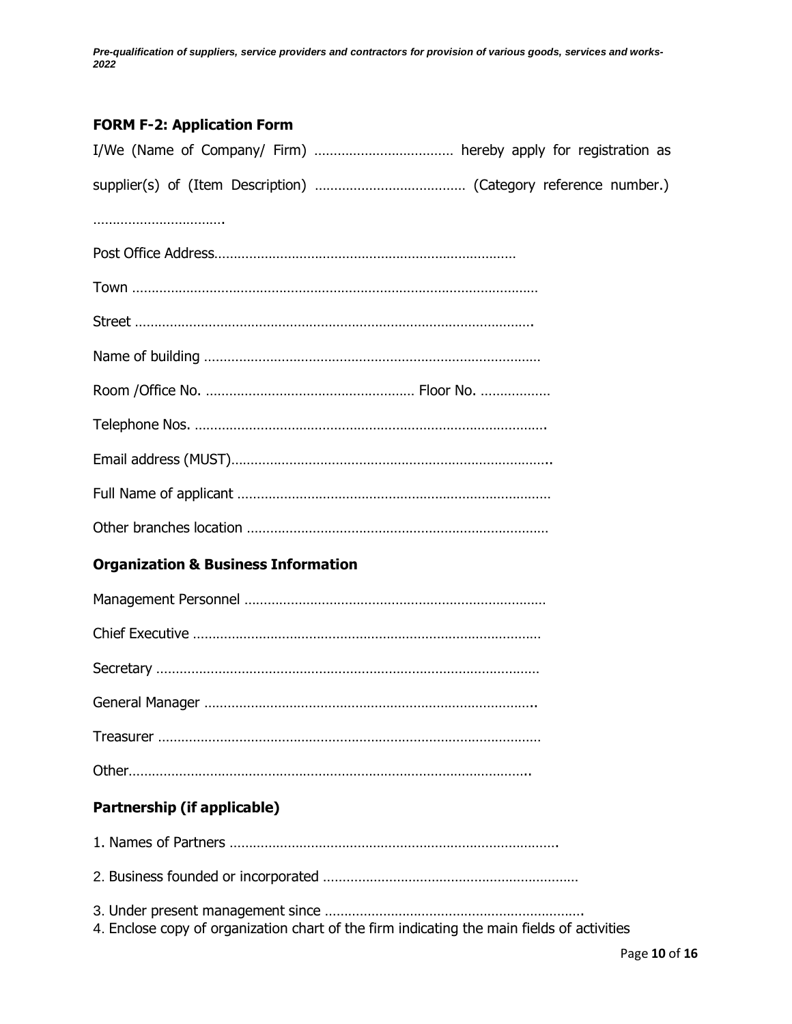# <span id="page-9-0"></span>**FORM F-2: Application Form**

<span id="page-9-2"></span><span id="page-9-1"></span>

| <b>Organization &amp; Business Information</b>                                             |
|--------------------------------------------------------------------------------------------|
|                                                                                            |
|                                                                                            |
|                                                                                            |
|                                                                                            |
|                                                                                            |
|                                                                                            |
| <b>Partnership (if applicable)</b>                                                         |
|                                                                                            |
|                                                                                            |
| 4. Enclose copy of organization chart of the firm indicating the main fields of activities |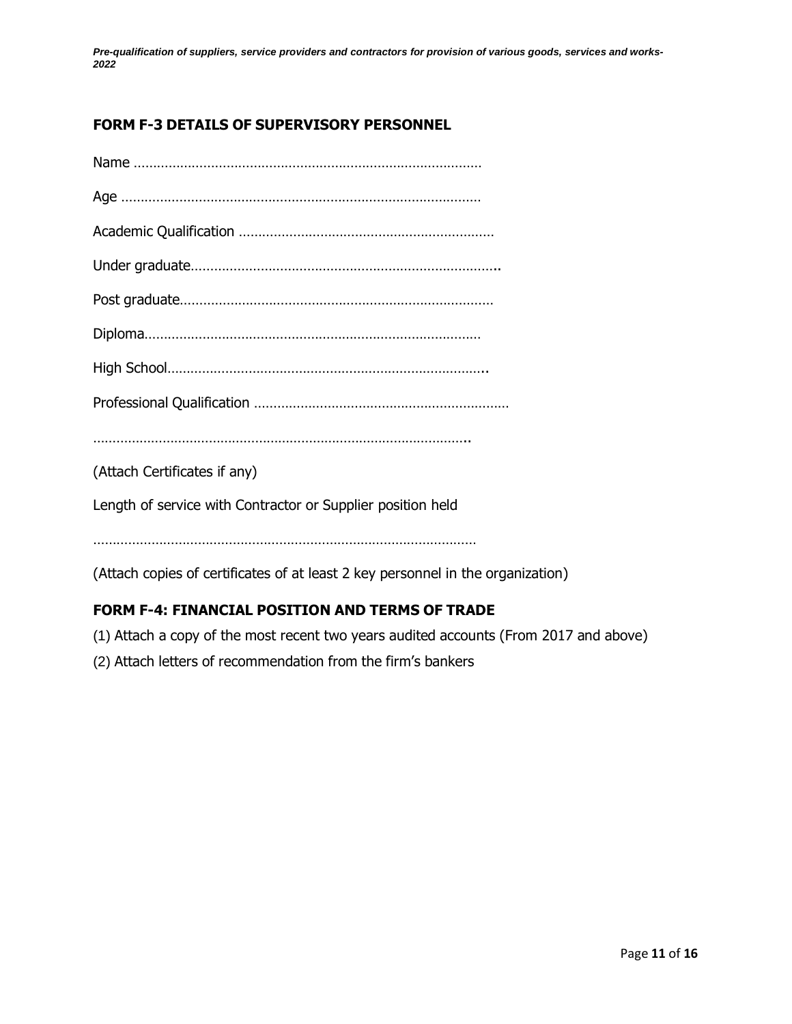# <span id="page-10-0"></span>**FORM F-3 DETAILS OF SUPERVISORY PERSONNEL**

| (Attach Certificates if any)                                |
|-------------------------------------------------------------|
| Length of service with Contractor or Supplier position held |
|                                                             |
|                                                             |

(Attach copies of certificates of at least 2 key personnel in the organization)

# <span id="page-10-1"></span>**FORM F-4: FINANCIAL POSITION AND TERMS OF TRADE**

- (1) Attach a copy of the most recent two years audited accounts (From 2017 and above)
- (2) Attach letters of recommendation from the firm's bankers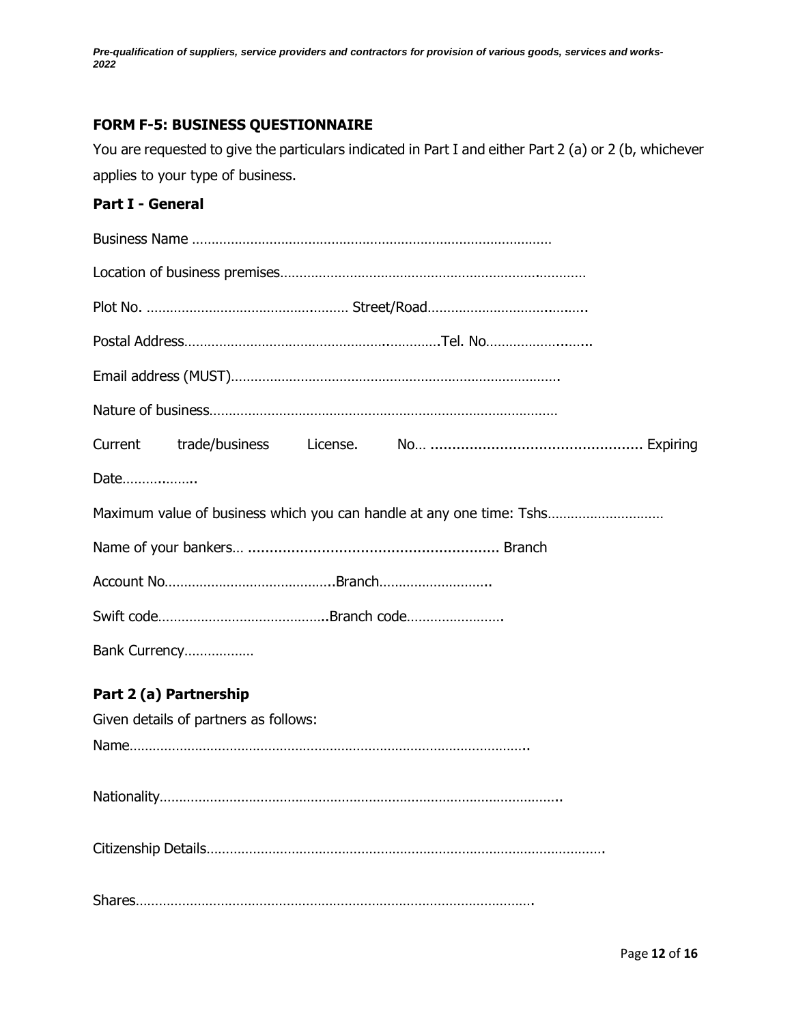# <span id="page-11-0"></span>**FORM F-5: BUSINESS QUESTIONNAIRE**

You are requested to give the particulars indicated in Part I and either Part 2 (a) or 2 (b, whichever applies to your type of business.

## <span id="page-11-1"></span>**Part I - General**

<span id="page-11-2"></span>

| Date |                                       |                                                                      |
|------|---------------------------------------|----------------------------------------------------------------------|
|      |                                       | Maximum value of business which you can handle at any one time: Tshs |
|      |                                       |                                                                      |
|      |                                       |                                                                      |
|      |                                       |                                                                      |
|      | Bank Currency                         |                                                                      |
|      | Part 2 (a) Partnership                |                                                                      |
|      | Given details of partners as follows: |                                                                      |
|      |                                       |                                                                      |
|      |                                       |                                                                      |
|      |                                       |                                                                      |
|      |                                       |                                                                      |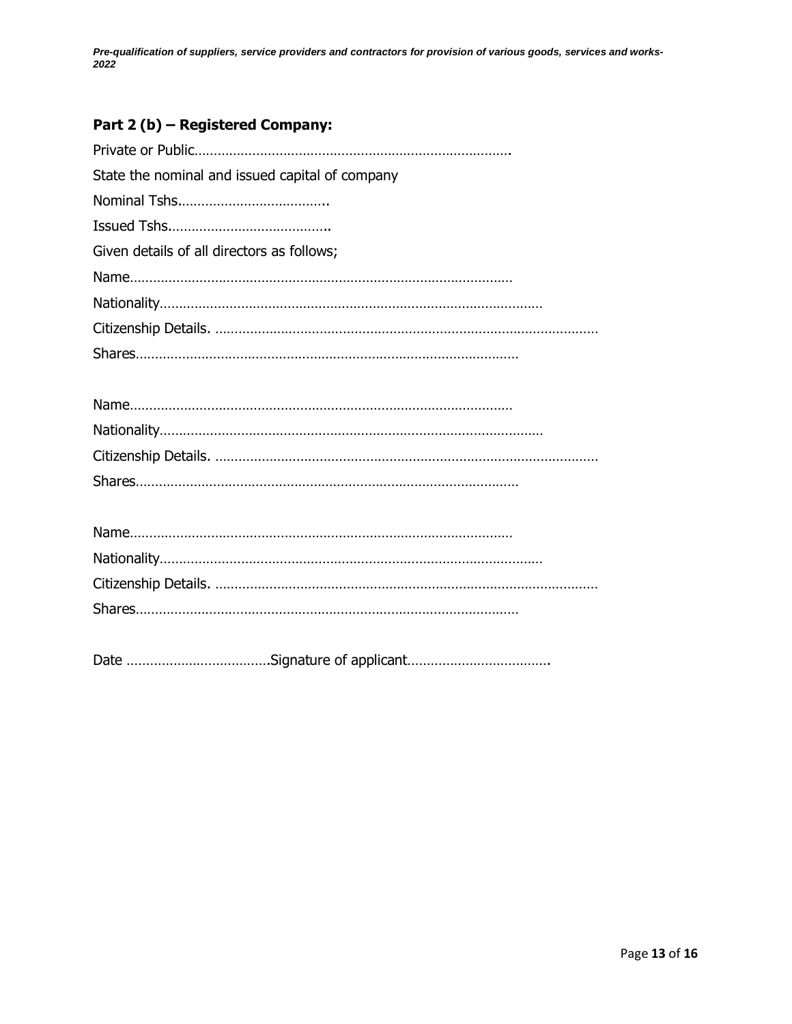# <span id="page-12-0"></span>**Part 2 (b) – Registered Company:**

| State the nominal and issued capital of company |
|-------------------------------------------------|
|                                                 |
|                                                 |
| Given details of all directors as follows;      |
|                                                 |
|                                                 |
|                                                 |
|                                                 |
|                                                 |
|                                                 |
|                                                 |
|                                                 |
|                                                 |
|                                                 |
|                                                 |
|                                                 |
|                                                 |
|                                                 |
|                                                 |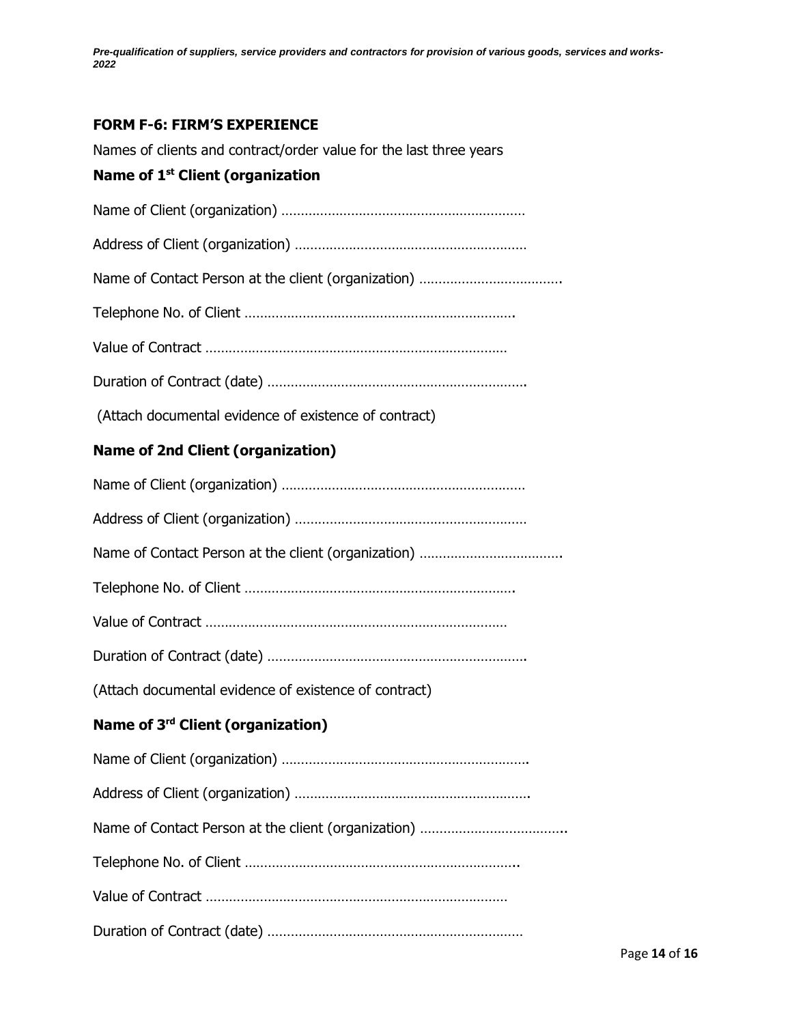## <span id="page-13-0"></span>**FORM F-6: FIRM'S EXPERIENCE**

Names of clients and contract/order value for the last three years

#### **Name of 1 st Client (organization**

Name of Client (organization) ……………………………………………………… Address of Client (organization) …………………………………………………… Name of Contact Person at the client (organization) ………………………………. Telephone No. of Client ……………………………………………………………. Value of Contract …………………………………………………………………… Duration of Contract (date) …………………………………………………………. (Attach documental evidence of existence of contract) **Name of 2nd Client (organization)** Name of Client (organization) ……………………………………………………… Address of Client (organization) …………………………………………………… Name of Contact Person at the client (organization) ………………………………. Telephone No. of Client ……………………………………………………………. Value of Contract …………………………………………………………………… Duration of Contract (date) …………………………………………………………. (Attach documental evidence of existence of contract) **Name of 3 rd Client (organization)** Name of Client (organization) ………………………………………………………. Address of Client (organization) ……………………………………………………. Name of Contact Person at the client (organization) ………………………………………………………………………… Telephone No. of Client …………………………………………………………….. Value of Contract …………………………………………………………………… Duration of Contract (date) …………………………………………………………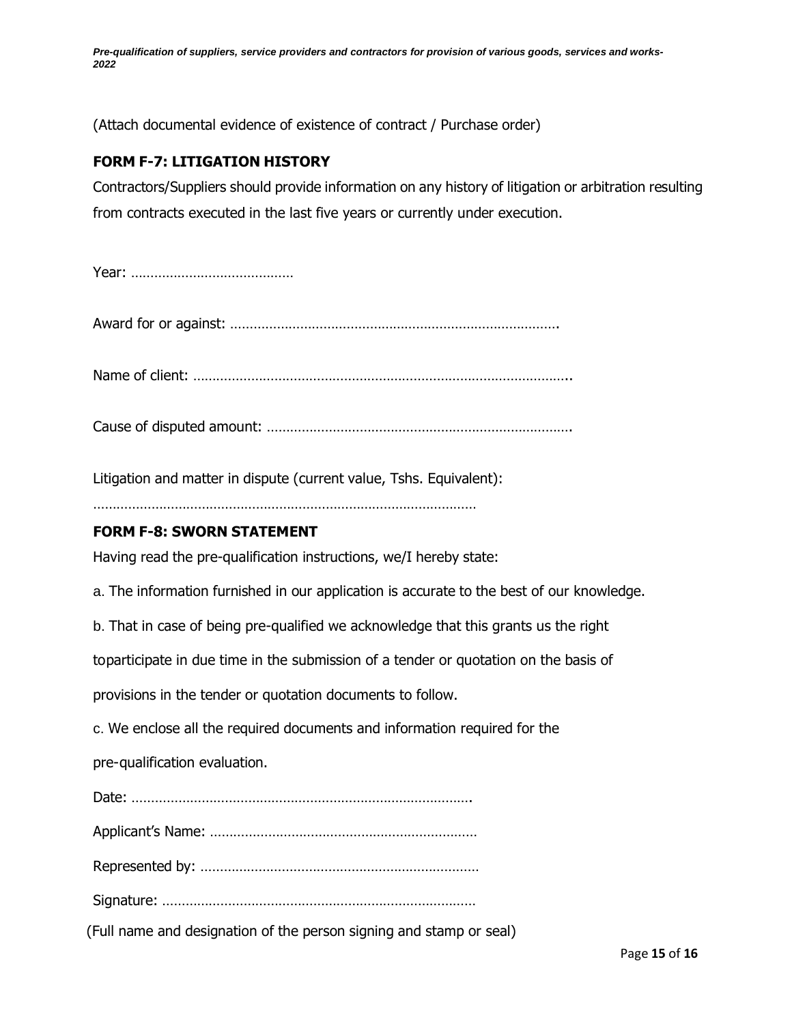(Attach documental evidence of existence of contract / Purchase order)

#### <span id="page-14-0"></span>**FORM F-7: LITIGATION HISTORY**

Contractors/Suppliers should provide information on any history of litigation or arbitration resulting from contracts executed in the last five years or currently under execution.

Year: ……………………………………

Award for or against: ………………………………………………………………………….

Name of client: ……………………………………………………………………………………..

Cause of disputed amount: …………………………………………………………………….

Litigation and matter in dispute (current value, Tshs. Equivalent):

………………………………………………………………………………………

#### <span id="page-14-1"></span>**FORM F-8: SWORN STATEMENT**

Having read the pre-qualification instructions, we/I hereby state:

a. The information furnished in our application is accurate to the best of our knowledge.

b. That in case of being pre-qualified we acknowledge that this grants us the right

toparticipate in due time in the submission of a tender or quotation on the basis of

provisions in the tender or quotation documents to follow.

c. We enclose all the required documents and information required for the

pre-qualification evaluation.

Date: …………………………………………………………………………….

Applicant's Name: ……………………………………………………………

Represented by: ………………………………………………………………

Signature: ………………………………………………………………………

(Full name and designation of the person signing and stamp or seal)